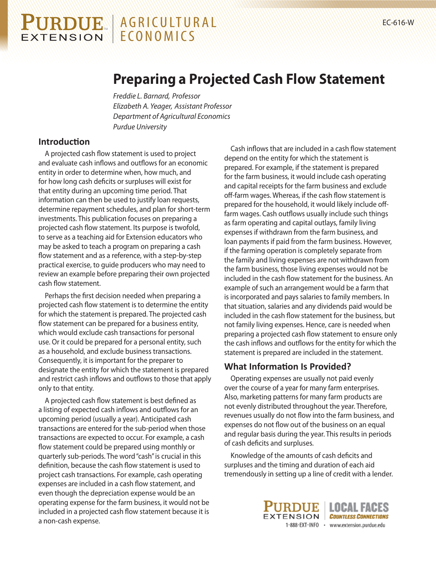# A G R I C U LT U R A L ECONOMICS

## **Preparing a Projected Cash Flow Statement**

*Freddie L. Barnard, Professor Elizabeth A. Yeager, Assistant Professor Department of Agricultural Economics Purdue University*

## **Introduction**

A projected cash flow statement is used to project and evaluate cash inflows and outflows for an economic entity in order to determine when, how much, and for how long cash deficits or surpluses will exist for that entity during an upcoming time period. That information can then be used to justify loan requests, determine repayment schedules, and plan for short-term investments. This publication focuses on preparing a projected cash flow statement. Its purpose is twofold, to serve as a teaching aid for Extension educators who may be asked to teach a program on preparing a cash flow statement and as a reference, with a step-by-step practical exercise, to guide producers who may need to review an example before preparing their own projected cash flow statement.

Perhaps the first decision needed when preparing a projected cash flow statement is to determine the entity for which the statement is prepared. The projected cash flow statement can be prepared for a business entity, which would exclude cash transactions for personal use. Or it could be prepared for a personal entity, such as a household, and exclude business transactions. Consequently, it is important for the preparer to designate the entity for which the statement is prepared and restrict cash inflows and outflows to those that apply only to that entity.

A projected cash flow statement is best defined as a listing of expected cash inflows and outflows for an upcoming period (usually a year). Anticipated cash transactions are entered for the sub-period when those transactions are expected to occur. For example, a cash flow statement could be prepared using monthly or quarterly sub-periods. The word "cash" is crucial in this definition, because the cash flow statement is used to project cash transactions. For example, cash operating expenses are included in a cash flow statement, and even though the depreciation expense would be an operating expense for the farm business, it would not be included in a projected cash flow statement because it is a non-cash expense.

Cash inflows that are included in a cash flow statement depend on the entity for which the statement is prepared. For example, if the statement is prepared for the farm business, it would include cash operating and capital receipts for the farm business and exclude off-farm wages. Whereas, if the cash flow statement is prepared for the household, it would likely include offfarm wages. Cash outflows usually include such things as farm operating and capital outlays, family living expenses if withdrawn from the farm business, and loan payments if paid from the farm business. However, if the farming operation is completely separate from the family and living expenses are not withdrawn from the farm business, those living expenses would not be included in the cash flow statement for the business. An example of such an arrangement would be a farm that is incorporated and pays salaries to family members. In that situation, salaries and any dividends paid would be included in the cash flow statement for the business, but not family living expenses. Hence, care is needed when preparing a projected cash flow statement to ensure only the cash inflows and outflows for the entity for which the statement is prepared are included in the statement.

## **What Information Is Provided?**

Operating expenses are usually not paid evenly over the course of a year for many farm enterprises. Also, marketing patterns for many farm products are not evenly distributed throughout the year. Therefore, revenues usually do not flow into the farm business, and expenses do not flow out of the business on an equal and regular basis during the year. This results in periods of cash deficits and surpluses.

Knowledge of the amounts of cash deficits and surpluses and the timing and duration of each aid tremendously in setting up a line of credit with a lender.

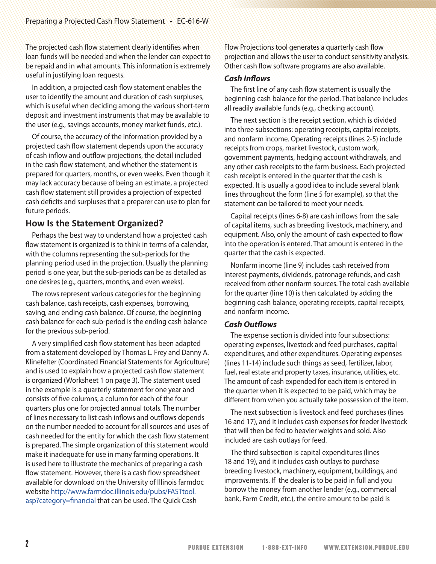The projected cash flow statement clearly identifies when loan funds will be needed and when the lender can expect to be repaid and in what amounts. This information is extremely useful in justifying loan requests.

In addition, a projected cash flow statement enables the user to identify the amount and duration of cash surpluses, which is useful when deciding among the various short-term deposit and investment instruments that may be available to the user (e.g., savings accounts, money market funds, etc.).

Of course, the accuracy of the information provided by a projected cash flow statement depends upon the accuracy of cash inflow and outflow projections, the detail included in the cash flow statement, and whether the statement is prepared for quarters, months, or even weeks. Even though it may lack accuracy because of being an estimate, a projected cash flow statement still provides a projection of expected cash deficits and surpluses that a preparer can use to plan for future periods.

## **How Is the Statement Organized?**

Perhaps the best way to understand how a projected cash flow statement is organized is to think in terms of a calendar, with the columns representing the sub-periods for the planning period used in the projection. Usually the planning period is one year, but the sub-periods can be as detailed as one desires (e.g., quarters, months, and even weeks).

The rows represent various categories for the beginning cash balance, cash receipts, cash expenses, borrowing, saving, and ending cash balance. Of course, the beginning cash balance for each sub-period is the ending cash balance for the previous sub-period.

A very simplified cash flow statement has been adapted from a statement developed by Thomas L. Frey and Danny A. Klinefelter (Coordinated Financial Statements for Agriculture) and is used to explain how a projected cash flow statement is organized (Worksheet 1 on page 3). The statement used in the example is a quarterly statement for one year and consists of five columns, a column for each of the four quarters plus one for projected annual totals. The number of lines necessary to list cash inflows and outflows depends on the number needed to account for all sources and uses of cash needed for the entity for which the cash flow statement is prepared. The simple organization of this statement would make it inadequate for use in many farming operations. It is used here to illustrate the mechanics of preparing a cash flow statement. However, there is a cash flow spreadsheet available for download on the University of Illinois farmdoc website [http://www.farmdoc.illinois.edu/pubs/FASTtool.](http://www.farmdoc.illinois.edu/pubs/FASTtool.asp?category=financial) [asp?category=financial](http://www.farmdoc.illinois.edu/pubs/FASTtool.asp?category=financial) that can be used. The Quick Cash

Flow Projections tool generates a quarterly cash flow projection and allows the user to conduct sensitivity analysis. Other cash flow software programs are also available.

#### *Cash Inflows*

The first line of any cash flow statement is usually the beginning cash balance for the period. That balance includes all readily available funds (e.g., checking account).

The next section is the receipt section, which is divided into three subsections: operating receipts, capital receipts, and nonfarm income. Operating receipts (lines 2-5) include receipts from crops, market livestock, custom work, government payments, hedging account withdrawals, and any other cash receipts to the farm business. Each projected cash receipt is entered in the quarter that the cash is expected. It is usually a good idea to include several blank lines throughout the form (line 5 for example), so that the statement can be tailored to meet your needs.

Capital receipts (lines 6-8) are cash inflows from the sale of capital items, such as breeding livestock, machinery, and equipment. Also, only the amount of cash expected to flow into the operation is entered. That amount is entered in the quarter that the cash is expected.

Nonfarm income (line 9) includes cash received from interest payments, dividends, patronage refunds, and cash received from other nonfarm sources. The total cash available for the quarter (line 10) is then calculated by adding the beginning cash balance, operating receipts, capital receipts, and nonfarm income.

### *Cash Outflows*

The expense section is divided into four subsections: operating expenses, livestock and feed purchases, capital expenditures, and other expenditures. Operating expenses (lines 11-14) include such things as seed, fertilizer, labor, fuel, real estate and property taxes, insurance, utilities, etc. The amount of cash expended for each item is entered in the quarter when it is expected to be paid, which may be different from when you actually take possession of the item.

The next subsection is livestock and feed purchases (lines 16 and 17), and it includes cash expenses for feeder livestock that will then be fed to heavier weights and sold. Also included are cash outlays for feed.

The third subsection is capital expenditures (lines 18 and 19), and it includes cash outlays to purchase breeding livestock, machinery, equipment, buildings, and improvements. If the dealer is to be paid in full and you borrow the money from another lender (e.g., commercial bank, Farm Credit, etc.), the entire amount to be paid is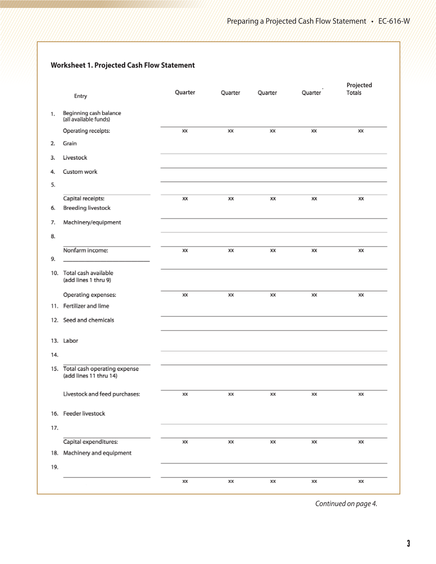#### **Worksheet 1. Projected Cash Flow Statement Projected** Quarter **Quarter**Quarter Quarter Totals Entry Beginning cash balance<br>(all available funds) 1. Operating receipts: XX XX XX XX хx 2. Grain 3. Livestock Custom work 4. 5. Capital receipts: XХ XX ХX XX XX **Breeding livestock** 6. Machinery/equipment 7. 8. Nonfarm income: XX XX XX  $\overline{\mathbf{x}}$  $\overline{\mathbf{x}}$ 9. 10. Total cash available (add lines 1 thru 9) Operating expenses: XX XX XX XX XX 11. Fertilizer and lime 12. Seed and chemicals 13. Labor 14. 15. Total cash operating expense<br>(add lines 11 thru 14) Livestock and feed purchases: XX хx ХX XX XX 16. Feeder livestock 17. Capital expenditures: XX  $\times$ xx XX XX 18. Machinery and equipment 19. xx XX xx xx xx

*Continued on page 4.*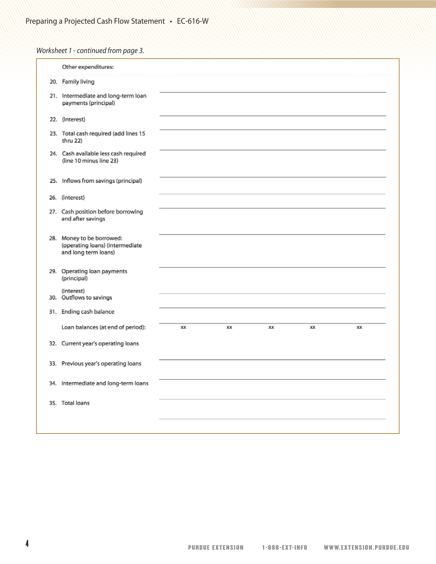## *Worksheet 1 - continued from page 3.*

| Other expenditures:                                                                  |    |    |    |    |    |
|--------------------------------------------------------------------------------------|----|----|----|----|----|
| 20. Family living                                                                    |    |    |    |    |    |
| 21. Intermediate and long-term loan<br>payments (principal)                          |    |    |    |    |    |
| 22. (interest)                                                                       |    |    |    |    |    |
| 23. Total cash required (add lines 15<br>thru 22)                                    |    |    |    |    |    |
| 24. Cash available less cash required<br>(line 10 minus line 23)                     |    |    |    |    |    |
| 25. Inflows from savings (principal)                                                 |    |    |    |    |    |
| 26. (interest)                                                                       |    |    |    |    |    |
| 27. Cash position before borrowing<br>and after savings                              |    |    |    |    |    |
| 28. Money to be borrowed:<br>(operating loans) (Intermediate<br>and long term loans) |    |    |    |    |    |
| 29. Operating loan payments<br>(principal)                                           |    |    |    |    |    |
| (interest)<br>30. Outflows to savings                                                |    |    |    |    |    |
| 31. Ending cash balance                                                              |    |    |    |    |    |
| Loan balances (at end of period):                                                    | XX | xх | xx | xх | xх |
| 32. Current year's operating loans                                                   |    |    |    |    |    |
| 33. Previous year's operating loans                                                  |    |    |    |    |    |
| 34. Intermediate and long-term loans                                                 |    |    |    |    |    |
| 35. Total loans                                                                      |    |    |    |    |    |
|                                                                                      |    |    |    |    |    |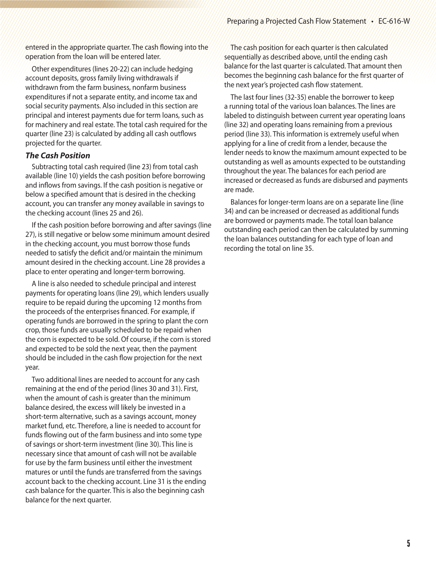entered in the appropriate quarter. The cash flowing into the operation from the loan will be entered later.

Other expenditures (lines 20-22) can include hedging account deposits, gross family living withdrawals if withdrawn from the farm business, nonfarm business expenditures if not a separate entity, and income tax and social security payments. Also included in this section are principal and interest payments due for term loans, such as for machinery and real estate. The total cash required for the quarter (line 23) is calculated by adding all cash outflows projected for the quarter.

#### *The Cash Position*

Subtracting total cash required (line 23) from total cash available (line 10) yields the cash position before borrowing and inflows from savings. If the cash position is negative or below a specified amount that is desired in the checking account, you can transfer any money available in savings to the checking account (lines 25 and 26).

If the cash position before borrowing and after savings (line 27), is still negative or below some minimum amount desired in the checking account, you must borrow those funds needed to satisfy the deficit and/or maintain the minimum amount desired in the checking account. Line 28 provides a place to enter operating and longer-term borrowing.

A line is also needed to schedule principal and interest payments for operating loans (line 29), which lenders usually require to be repaid during the upcoming 12 months from the proceeds of the enterprises financed. For example, if operating funds are borrowed in the spring to plant the corn crop, those funds are usually scheduled to be repaid when the corn is expected to be sold. Of course, if the corn is stored and expected to be sold the next year, then the payment should be included in the cash flow projection for the next year.

Two additional lines are needed to account for any cash remaining at the end of the period (lines 30 and 31). First, when the amount of cash is greater than the minimum balance desired, the excess will likely be invested in a short-term alternative, such as a savings account, money market fund, etc. Therefore, a line is needed to account for funds flowing out of the farm business and into some type of savings or short-term investment (line 30). This line is necessary since that amount of cash will not be available for use by the farm business until either the investment matures or until the funds are transferred from the savings account back to the checking account. Line 31 is the ending cash balance for the quarter. This is also the beginning cash balance for the next quarter.

The cash position for each quarter is then calculated sequentially as described above, until the ending cash balance for the last quarter is calculated. That amount then becomes the beginning cash balance for the first quarter of the next year's projected cash flow statement.

The last four lines (32-35) enable the borrower to keep a running total of the various loan balances. The lines are labeled to distinguish between current year operating loans (line 32) and operating loans remaining from a previous period (line 33). This information is extremely useful when applying for a line of credit from a lender, because the lender needs to know the maximum amount expected to be outstanding as well as amounts expected to be outstanding throughout the year. The balances for each period are increased or decreased as funds are disbursed and payments are made.

Balances for longer-term loans are on a separate line (line 34) and can be increased or decreased as additional funds are borrowed or payments made. The total loan balance outstanding each period can then be calculated by summing the loan balances outstanding for each type of loan and recording the total on line 35.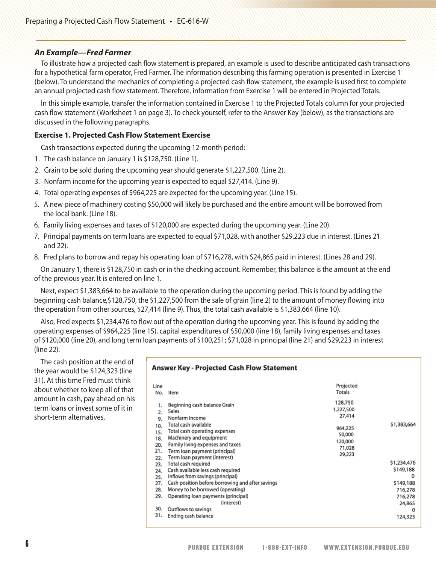#### *An Example—Fred Farmer*

To illustrate how a projected cash flow statement is prepared, an example is used to describe anticipated cash transactions for a hypothetical farm operator, Fred Farmer. The information describing this farming operation is presented in Exercise 1 (below). To understand the mechanics of completing a projected cash flow statement, the example is used first to complete an annual projected cash flow statement. Therefore, information from Exercise 1 will be entered in Projected Totals.

In this simple example, transfer the information contained in Exercise 1 to the Projected Totals column for your projected cash flow statement (Worksheet 1 on page 3). To check yourself, refer to the Answer Key (below), as the transactions are discussed in the following paragraphs.

#### **Exercise 1. Projected Cash Flow Statement Exercise**

Cash transactions expected during the upcoming 12-month period:

- 1. The cash balance on January 1 is \$128,750. (Line 1).
- 2. Grain to be sold during the upcoming year should generate \$1,227,500. (Line 2).
- 3. Nonfarm income for the upcoming year is expected to equal \$27,414. (Line 9).
- 4. Total operating expenses of \$964,225 are expected for the upcoming year. (Line 15).
- 5. A new piece of machinery costing \$50,000 will likely be purchased and the entire amount will be borrowed from the local bank. (Line 18).
- 6. Family living expenses and taxes of \$120,000 are expected during the upcoming year. (Line 20).
- 7. Principal payments on term loans are expected to equal \$71,028, with another \$29,223 due in interest. (Lines 21 and 22).
- 8. Fred plans to borrow and repay his operating loan of \$716,278, with \$24,865 paid in interest. (Lines 28 and 29).

On January 1, there is \$128,750 in cash or in the checking account. Remember, this balance is the amount at the end of the previous year. It is entered on line 1.

Next, expect \$1,383,664 to be available to the operation during the upcoming period. This is found by adding the beginning cash balance,\$128,750, the \$1,227,500 from the sale of grain (line 2) to the amount of money flowing into the operation from other sources, \$27,414 (line 9). Thus, the total cash available is \$1,383,664 (line 10).

Also, Fred expects \$1,234,476 to flow out of the operation during the upcoming year. This is found by adding the operating expenses of \$964,225 (line 15), capital expenditures of \$50,000 (line 18), family living expenses and taxes of \$120,000 (line 20), and long term loan payments of \$100,251; \$71,028 in principal (line 21) and \$29,223 in interest (line 22).

The cash position at the end of the year would be \$124,323 (line 31). At this time Fred must think about whether to keep all of that amount in cash, pay ahead on his term loans or invest some of it in short-term alternatives.

| Answer Key - Projected Cash Flow Statement |  |  |  |
|--------------------------------------------|--|--|--|
|--------------------------------------------|--|--|--|

| Line<br>No.                                                            | Item                                                                                                                                                                                                                                             | Projected<br>Totals                                                                |             |
|------------------------------------------------------------------------|--------------------------------------------------------------------------------------------------------------------------------------------------------------------------------------------------------------------------------------------------|------------------------------------------------------------------------------------|-------------|
| 1.<br>$\overline{2}$ .<br>9.<br>10.<br>15.<br>18.<br>20.<br>21.<br>22. | Beginning cash balance Grain<br>Sales<br>Nonfarm income<br>Total cash available<br>Total cash operating expenses<br>Machinery and equipment<br>Family living expenses and taxes<br>Term loan payment (principal)<br>Term loan payment (interest) | 128,750<br>1,227,500<br>27,414<br>964,225<br>50,000<br>120,000<br>71,028<br>29,223 | \$1,383,664 |
| 23.                                                                    | Total cash required                                                                                                                                                                                                                              |                                                                                    | \$1,234,476 |
| 24.                                                                    | Cash available less cash required                                                                                                                                                                                                                |                                                                                    | \$149,188   |
| 25.                                                                    | Inflows from savings (principal)                                                                                                                                                                                                                 |                                                                                    | 0           |
| 27.                                                                    | Cash position before borrowing and after savings                                                                                                                                                                                                 |                                                                                    | \$149,188   |
| 28.                                                                    | Money to be borrowed (operating)                                                                                                                                                                                                                 |                                                                                    | 716,278     |
| 29.                                                                    | Operating loan payments (principal)                                                                                                                                                                                                              |                                                                                    | 716,278     |
|                                                                        | (interest)                                                                                                                                                                                                                                       |                                                                                    | 24,865      |
| 30.                                                                    | Outflows to savings                                                                                                                                                                                                                              |                                                                                    | $\Omega$    |
| 31.                                                                    | Ending cash balance                                                                                                                                                                                                                              |                                                                                    | 124,323     |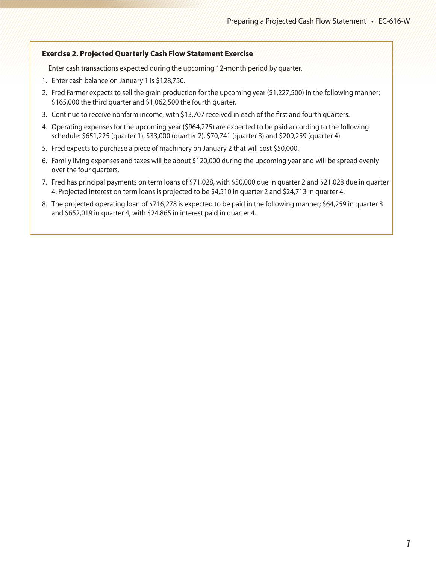#### **Exercise 2. Projected Quarterly Cash Flow Statement Exercise**

Enter cash transactions expected during the upcoming 12-month period by quarter.

- 1. Enter cash balance on January 1 is \$128,750.
- 2. Fred Farmer expects to sell the grain production for the upcoming year (\$1,227,500) in the following manner: \$165,000 the third quarter and \$1,062,500 the fourth quarter.
- 3. Continue to receive nonfarm income, with \$13,707 received in each of the first and fourth quarters.
- 4. Operating expenses for the upcoming year (\$964,225) are expected to be paid according to the following schedule: \$651,225 (quarter 1), \$33,000 (quarter 2), \$70,741 (quarter 3) and \$209,259 (quarter 4).
- 5. Fred expects to purchase a piece of machinery on January 2 that will cost \$50,000.
- 6. Family living expenses and taxes will be about \$120,000 during the upcoming year and will be spread evenly over the four quarters.
- 7. Fred has principal payments on term loans of \$71,028, with \$50,000 due in quarter 2 and \$21,028 due in quarter 4. Projected interest on term loans is projected to be \$4,510 in quarter 2 and \$24,713 in quarter 4.
- 8. The projected operating loan of \$716,278 is expected to be paid in the following manner; \$64,259 in quarter 3 and \$652,019 in quarter 4, with \$24,865 in interest paid in quarter 4.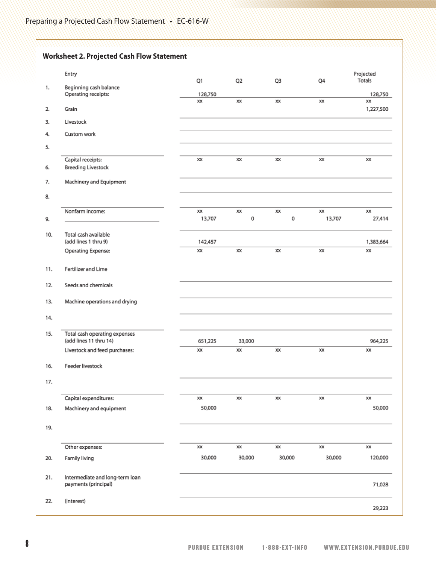| Beginning cash balance<br>Operating receipts:<br>Grain<br>Livestock<br>Custom work<br>Capital receipts:<br><b>Breeding Livestock</b><br>Machinery and Equipment<br>Nonfarm income:<br>Total cash available<br>(add lines 1 thru 9)<br>Operating Expense:<br>Fertilizer and Lime<br>Seeds and chemicals<br>Machine operations and drying | Q1<br>128,750<br>xх<br>xх | Q <sub>2</sub><br>ХX<br>XX | Q3<br>xx<br>XX | Q4<br>XX | Totals<br>128,750<br>хx<br>1,227,500 |
|-----------------------------------------------------------------------------------------------------------------------------------------------------------------------------------------------------------------------------------------------------------------------------------------------------------------------------------------|---------------------------|----------------------------|----------------|----------|--------------------------------------|
|                                                                                                                                                                                                                                                                                                                                         |                           |                            |                |          |                                      |
|                                                                                                                                                                                                                                                                                                                                         |                           |                            |                |          |                                      |
|                                                                                                                                                                                                                                                                                                                                         |                           |                            |                |          |                                      |
|                                                                                                                                                                                                                                                                                                                                         |                           |                            |                |          |                                      |
|                                                                                                                                                                                                                                                                                                                                         |                           |                            |                |          |                                      |
|                                                                                                                                                                                                                                                                                                                                         |                           |                            |                |          |                                      |
|                                                                                                                                                                                                                                                                                                                                         |                           |                            |                |          |                                      |
|                                                                                                                                                                                                                                                                                                                                         |                           |                            |                | XX       | xх                                   |
|                                                                                                                                                                                                                                                                                                                                         |                           |                            |                |          |                                      |
|                                                                                                                                                                                                                                                                                                                                         |                           |                            |                |          |                                      |
|                                                                                                                                                                                                                                                                                                                                         |                           |                            |                |          |                                      |
|                                                                                                                                                                                                                                                                                                                                         | xх                        | xх                         | xх             | хx       | хx                                   |
|                                                                                                                                                                                                                                                                                                                                         | 13,707                    | 0                          | 0              | 13,707   | 27,414                               |
|                                                                                                                                                                                                                                                                                                                                         |                           |                            |                |          |                                      |
|                                                                                                                                                                                                                                                                                                                                         | 142,457                   |                            |                |          | 1,383,664                            |
|                                                                                                                                                                                                                                                                                                                                         | XХ                        | XX                         | XX             | XX       | xх                                   |
|                                                                                                                                                                                                                                                                                                                                         |                           |                            |                |          |                                      |
|                                                                                                                                                                                                                                                                                                                                         |                           |                            |                |          |                                      |
|                                                                                                                                                                                                                                                                                                                                         |                           |                            |                |          |                                      |
|                                                                                                                                                                                                                                                                                                                                         |                           |                            |                |          |                                      |
| Total cash operating expenses<br>(add lines 11 thru 14)                                                                                                                                                                                                                                                                                 | 651,225                   | 33,000                     |                |          | 964,225                              |
| Livestock and feed purchases:                                                                                                                                                                                                                                                                                                           | ХX                        | ХX                         | xх             | XX       | ХX                                   |
| Feeder livestock                                                                                                                                                                                                                                                                                                                        |                           |                            |                |          |                                      |
|                                                                                                                                                                                                                                                                                                                                         |                           |                            |                |          |                                      |
| Capital expenditures:                                                                                                                                                                                                                                                                                                                   | XX                        | XХ                         | XX             | XX       | XX                                   |
| Machinery and equipment                                                                                                                                                                                                                                                                                                                 | 50,000                    |                            |                |          | 50,000                               |
|                                                                                                                                                                                                                                                                                                                                         |                           |                            |                |          |                                      |
| Other expenses:                                                                                                                                                                                                                                                                                                                         | xх                        | xх                         | xх             | XX       | XХ                                   |
| Family living                                                                                                                                                                                                                                                                                                                           | 30,000                    | 30,000                     | 30,000         | 30,000   | 120,000                              |
| Intermediate and long-term loan                                                                                                                                                                                                                                                                                                         |                           |                            |                |          | 71,028                               |
| payments (principal)<br>(interest)                                                                                                                                                                                                                                                                                                      |                           |                            |                |          | 29,223                               |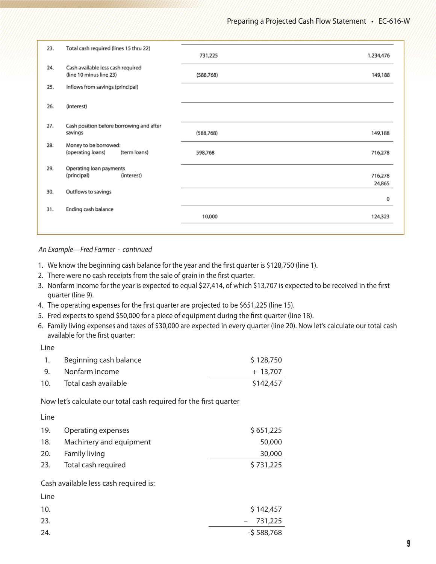| Total cash required (lines 15 thru 22)<br>Cash available less cash required<br>(line 10 minus line 23)<br>Inflows from savings (principal)<br>(interest) | 731,225<br>(588, 768)                    | 1,234,476<br>149,188 |
|----------------------------------------------------------------------------------------------------------------------------------------------------------|------------------------------------------|----------------------|
|                                                                                                                                                          |                                          |                      |
|                                                                                                                                                          |                                          |                      |
|                                                                                                                                                          |                                          |                      |
|                                                                                                                                                          |                                          |                      |
| savings                                                                                                                                                  | (588, 768)                               | 149,188              |
| Money to be borrowed:<br>(term loans)<br>(operating loans)                                                                                               | 598,768                                  | 716,278              |
| Operating loan payments<br>(principal)<br>(interest)                                                                                                     |                                          | 716,278<br>24,865    |
| Outflows to savings                                                                                                                                      |                                          | 0                    |
| Ending cash balance                                                                                                                                      | 10,000                                   | 124,323              |
|                                                                                                                                                          | Cash position before borrowing and after |                      |

#### *An Example—Fred Farmer - continued*

- 1. We know the beginning cash balance for the year and the first quarter is \$128,750 (line 1).
- 2. There were no cash receipts from the sale of grain in the first quarter.
- 3. Nonfarm income for the year is expected to equal \$27,414, of which \$13,707 is expected to be received in the first quarter (line 9).
- 4. The operating expenses for the first quarter are projected to be \$651,225 (line 15).
- 5. Fred expects to spend \$50,000 for a piece of equipment during the first quarter (line 18).
- 6. Family living expenses and taxes of \$30,000 are expected in every quarter (line 20). Now let's calculate our total cash available for the first quarter:

Line

|          | Beginning cash balance | \$128,750 |
|----------|------------------------|-----------|
| <b>9</b> | Nonfarm income         | $+13.707$ |
| 10.      | Total cash available   | \$142,457 |

Now let's calculate our total cash required for the first quarter

Line

| 19.        | Operating expenses      | \$651,225 |
|------------|-------------------------|-----------|
| 18.        | Machinery and equipment | 50,000    |
| <b>20.</b> | Family living           | 30,000    |
| 23.        | Total cash required     | \$731,225 |

Cash available less cash required is:

Line

| 10. | \$142,457   |
|-----|-------------|
| 23. | $-731,225$  |
| 24. | $-5588,768$ |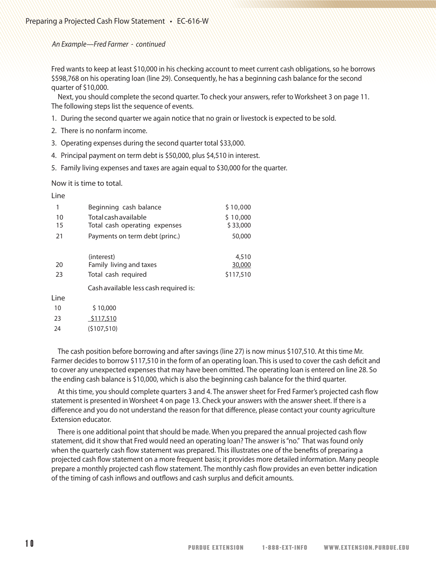#### *An Example—Fred Farmer - continued*

Fred wants to keep at least \$10,000 in his checking account to meet current cash obligations, so he borrows \$598,768 on his operating loan (line 29). Consequently, he has a beginning cash balance for the second quarter of \$10,000.

Next, you should complete the second quarter. To check your answers, refer to Worksheet 3 on page 11. The following steps list the sequence of events.

- 1. During the second quarter we again notice that no grain or livestock is expected to be sold.
- 2. There is no nonfarm income.
- 3. Operating expenses during the second quarter total \$33,000.
- 4. Principal payment on term debt is \$50,000, plus \$4,510 in interest.
- 5. Family living expenses and taxes are again equal to \$30,000 for the quarter.

Now it is time to total.

Line

| 1    | Beginning cash balance                | \$10,000  |
|------|---------------------------------------|-----------|
| 10   | Total cash available                  | \$10,000  |
| 15   | Total cash operating expenses         | \$33,000  |
| 21   | Payments on term debt (princ.)        | 50,000    |
|      | (interest)                            | 4,510     |
| 20   | Family living and taxes               | 30,000    |
| 23   | Total cash required                   | \$117,510 |
|      | Cash available less cash required is: |           |
| Line |                                       |           |
| 10   | \$10,000                              |           |
| 23   | \$117,510                             |           |
| 24   | (\$107,510)                           |           |

The cash position before borrowing and after savings (line 27) is now minus \$107,510. At this time Mr. Farmer decides to borrow \$117,510 in the form of an operating loan. This is used to cover the cash deficit and to cover any unexpected expenses that may have been omitted. The operating loan is entered on line 28. So the ending cash balance is \$10,000, which is also the beginning cash balance for the third quarter.

At this time, you should complete quarters 3 and 4. The answer sheet for Fred Farmer's projected cash flow statement is presented in Worsheet 4 on page 13. Check your answers with the answer sheet. If there is a difference and you do not understand the reason for that difference, please contact your county agriculture Extension educator.

There is one additional point that should be made. When you prepared the annual projected cash flow statement, did it show that Fred would need an operating loan? The answer is "no." That was found only when the quarterly cash flow statement was prepared. This illustrates one of the benefits of preparing a projected cash flow statement on a more frequent basis; it provides more detailed information. Many people prepare a monthly projected cash flow statement. The monthly cash flow provides an even better indication of the timing of cash inflows and outflows and cash surplus and deficit amounts.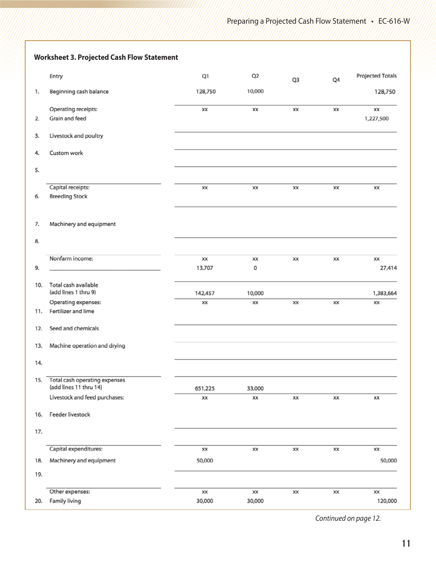|     | <b>Worksheet 3. Projected Cash Flow Statement</b>       |              |                |                |    |                  |
|-----|---------------------------------------------------------|--------------|----------------|----------------|----|------------------|
|     | Entry                                                   | Q1           | Q <sub>2</sub> | Q <sub>3</sub> | Q4 | Projected Totals |
| 1.  | Beginning cash balance                                  | 128,750      | 10,000         |                |    | 128,750          |
| 2.  | Operating receipts:<br>Grain and feed                   | xх           | xх             | XХ             | xх | xх<br>1,227,500  |
| 3.  | Livestock and poultry                                   |              |                |                |    |                  |
| 4.  | Custom work                                             |              |                |                |    |                  |
| 5.  |                                                         |              |                |                |    |                  |
| б.  | Capital receipts:<br><b>Breeding Stock</b>              | XX           | ХX             | XX             | ХX | XX               |
| 7.  | Machinery and equipment                                 |              |                |                |    |                  |
| 8.  |                                                         |              |                |                |    |                  |
| 9.  | Nonfarm income:                                         | XX<br>13,707 | XX<br>0        | XX             | XX | XX<br>27,414     |
| 10. | Total cash available<br>(add lines 1 thru 9)            | 142,457      | 10,000         |                |    | 1,383,664        |
| 11. | Operating expenses:<br>Fertilizer and lime              | XX           | хx             | XX             | XX | XX               |
| 12. | Seed and chemicals                                      |              |                |                |    |                  |
| 13. | Machine operation and drying                            |              |                |                |    |                  |
| 14. |                                                         |              |                |                |    |                  |
| 15. | Total cash operating expenses<br>(add lines 11 thru 14) | 651,225      | 33,000         |                |    |                  |
|     | Livestock and feed purchases:                           | XX           | XХ             | XX             | XХ | XX               |
| 16. | Feeder livestock                                        |              |                |                |    |                  |
| 17. |                                                         |              |                |                |    |                  |
|     | Capital expenditures:                                   | XX           | XX             | XX             | ХX | XX               |
| 18. | Machinery and equipment                                 | 50,000       |                |                |    | 50,000           |
| 19. |                                                         |              |                |                |    |                  |
| 20. | Other expenses:<br>Family living                        | XX<br>30,000 | XХ<br>30,000   | XX             | хx | XX<br>120,000    |

*Continued on page 12.*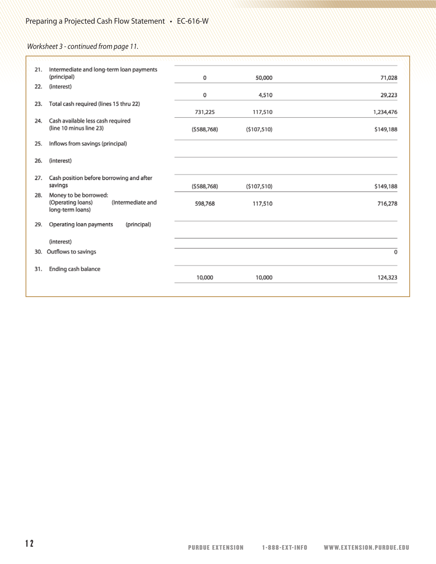## *Worksheet 3 - continued from page 11.*

| Intermediate and long-term loan payments<br>21.<br>(principal)                             | 0             | 50,000      | 71,028    |
|--------------------------------------------------------------------------------------------|---------------|-------------|-----------|
| (interest)<br>22.                                                                          |               |             |           |
|                                                                                            | 0             | 4,510       | 29,223    |
| Total cash required (lines 15 thru 22)<br>23.                                              |               |             |           |
|                                                                                            | 731,225       | 117,510     | 1,234,476 |
| Cash available less cash required<br>24.<br>(line 10 minus line 23)                        | (5588, 768)   | (5107,510)  | \$149,188 |
| Inflows from savings (principal)<br>25.                                                    |               |             |           |
| (interest)<br>26.                                                                          |               |             |           |
| Cash position before borrowing and after<br>27.                                            |               |             |           |
| savings                                                                                    | ( \$588, 768) | (\$107,510) | \$149,188 |
| Money to be borrowed:<br>28.<br>(Intermediate and<br>(Operating loans)<br>long-term loans) | 598,768       | 117,510     | 716,278   |
| Operating loan payments<br>(principal)<br>29.                                              |               |             |           |
| (interest)                                                                                 |               |             |           |
| Outflows to savings<br>30.                                                                 |               |             | 0         |
| Ending cash balance<br>31.                                                                 |               |             |           |
|                                                                                            | 10,000        | 10,000      | 124,323   |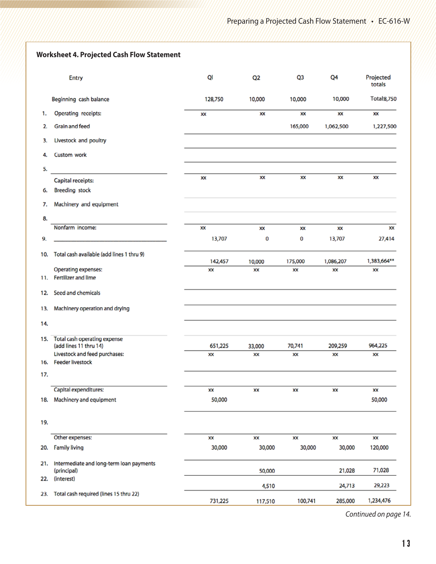|     | <b>Worksheet 4. Projected Cash Flow Statement</b>          |               |                |               |                 |                     |
|-----|------------------------------------------------------------|---------------|----------------|---------------|-----------------|---------------------|
|     | <b>Entry</b>                                               | QI            | Q <sub>2</sub> | Q3            | Q4              | Projected<br>totals |
|     | Beginning cash balance                                     | 128,750       | 10,000         | 10,000        | 10,000          | Total 8,750         |
| 1.  | Operating receipts:                                        | XX            | XX             | XX            | XX              | XX                  |
| 2.  | <b>Grain and feed</b>                                      |               |                | 165,000       | 1,062,500       | 1,227,500           |
| 3.  | Livestock and poultry                                      |               |                |               |                 |                     |
| 4.  | Custom work                                                |               |                |               |                 |                     |
| 5.  |                                                            |               |                |               |                 |                     |
| 6.  | Capital receipts:<br><b>Breeding stock</b>                 | XX            | XX             | XX            | XX              | XX                  |
| 7.  | Machinery and equipment                                    |               |                |               |                 |                     |
| 8.  |                                                            |               |                |               |                 |                     |
|     | Nonfarm income:                                            | XX            | XX             | XX            | XX              | XХ                  |
| 9.  |                                                            | 13,707        | 0              | 0             | 13,707          | 27,414              |
| 10. | Total cash available (add lines 1 thru 9)                  |               |                |               |                 | 1,383,664**         |
|     | Operating expenses:                                        | 142,457<br>ХX | 10,000<br>XX   | 175,000<br>XX | 1,086,207<br>XX | XX                  |
| 11. | <b>Fertilizer and lime</b>                                 |               |                |               |                 |                     |
| 12. | <b>Seed and chemicals</b>                                  |               |                |               |                 |                     |
| 13. | Machinery operation and drying                             |               |                |               |                 |                     |
| 14. |                                                            |               |                |               |                 |                     |
|     | 15. Total cash operating expense<br>(add lines 11 thru 14) | 651,225       |                |               |                 | 964,225             |
|     | Livestock and feed purchases:                              | XX            | 33,000<br>XX   | 70,741<br>XX  | 209,259<br>XX   | XХ                  |
|     | 16. Feeder livestock                                       |               |                |               |                 |                     |
| 17. |                                                            |               |                |               |                 |                     |
|     | Capital expenditures:                                      | ХX            | ХX             | xх            | XX              | XX                  |
|     | 18. Machinery and equipment                                | 50,000        |                |               |                 | 50,000              |
| 19. |                                                            |               |                |               |                 |                     |
|     | Other expenses:                                            | XX            | XX             | ХX            | XX              | XX                  |
|     | 20. Family living                                          | 30,000        | 30,000         | 30,000        | 30,000          | 120,000             |
| 21. | Intermediate and long-term loan payments<br>(principal)    |               | 50,000         |               | 21,028          | 71,028              |
| 22. | (interest)                                                 |               | 4,510          |               | 24,713          | 29,223              |
|     | 23. Total cash required (lines 15 thru 22)                 | 731,225       | 117,510        | 100,741       | 285,000         | 1,234,476           |
|     |                                                            |               |                |               |                 |                     |

*Continued on page 14.*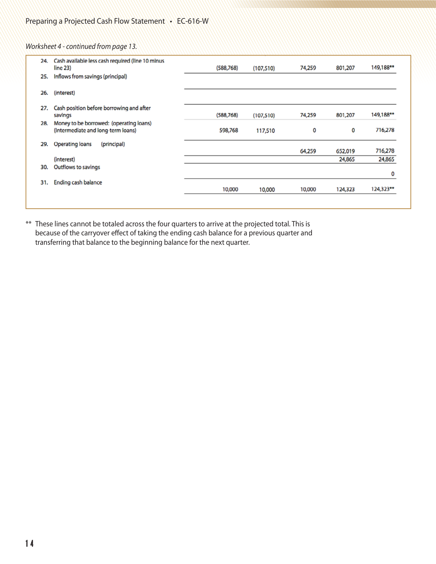### *Worksheet 4 - continued from page 13.*

| 24. | Cash available less cash required (line 10 minus<br>line 23)                  | (588, 768) | (107, 510) | 74,259 | 801,207 | 149,188** |
|-----|-------------------------------------------------------------------------------|------------|------------|--------|---------|-----------|
| 25. | Inflows from savings (principal)                                              |            |            |        |         |           |
| 26. | (interest)                                                                    |            |            |        |         |           |
| 27. | Cash position before borrowing and after<br>savings                           | (588, 768) | (107, 510) | 74,259 | 801,207 | 149,188** |
| 28. | Money to be borrowed: (operating loans)<br>(Intermediate and long-term loans) | 598,768    | 117,510    | 0      | 0       | 716,278   |
| 29. | (principal)<br><b>Operating loans</b>                                         |            |            | 64,259 | 652,019 | 716,278   |
|     | (interest)                                                                    |            |            |        | 24,865  | 24,865    |
| 30. | Outflows to savings                                                           |            |            |        |         | 0         |
| 31. | Ending cash balance                                                           | 10,000     | 10,000     | 10,000 | 124,323 | 124,323** |

\*\* These lines cannot be totaled across the four quarters to arrive at the projected total. This is because of the carryover effect of taking the ending cash balance for a previous quarter and transferring that balance to the beginning balance for the next quarter.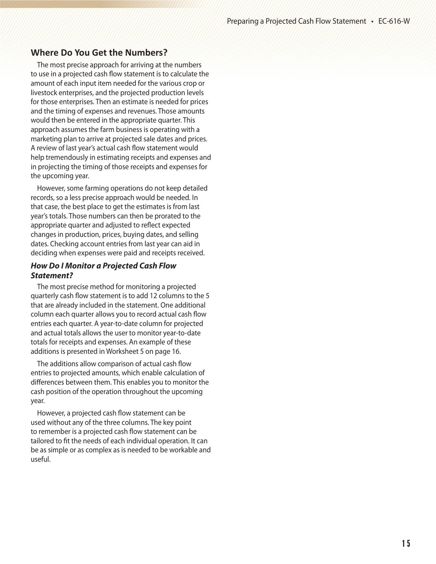## **Where Do You Get the Numbers?**

The most precise approach for arriving at the numbers to use in a projected cash flow statement is to calculate the amount of each input item needed for the various crop or livestock enterprises, and the projected production levels for those enterprises. Then an estimate is needed for prices and the timing of expenses and revenues. Those amounts would then be entered in the appropriate quarter. This approach assumes the farm business is operating with a marketing plan to arrive at projected sale dates and prices. A review of last year's actual cash flow statement would help tremendously in estimating receipts and expenses and in projecting the timing of those receipts and expenses for the upcoming year.

However, some farming operations do not keep detailed records, so a less precise approach would be needed. In that case, the best place to get the estimates is from last year's totals. Those numbers can then be prorated to the appropriate quarter and adjusted to reflect expected changes in production, prices, buying dates, and selling dates. Checking account entries from last year can aid in deciding when expenses were paid and receipts received.

### *How Do I Monitor a Projected Cash Flow Statement?*

The most precise method for monitoring a projected quarterly cash flow statement is to add 12 columns to the 5 that are already included in the statement. One additional column each quarter allows you to record actual cash flow entries each quarter. A year-to-date column for projected and actual totals allows the user to monitor year-to-date totals for receipts and expenses. An example of these additions is presented in Worksheet 5 on page 16.

The additions allow comparison of actual cash flow entries to projected amounts, which enable calculation of differences between them. This enables you to monitor the cash position of the operation throughout the upcoming year.

However, a projected cash flow statement can be used without any of the three columns. The key point to remember is a projected cash flow statement can be tailored to fit the needs of each individual operation. It can be as simple or as complex as is needed to be workable and useful.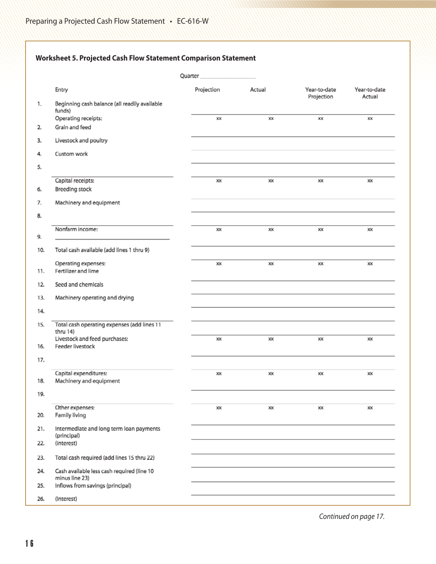## **Worksheet 5. Projected Cash Flow Statement Comparison Statement**

|     | Quarter                                                      |            |        |                            |                        |  |  |
|-----|--------------------------------------------------------------|------------|--------|----------------------------|------------------------|--|--|
|     | Entry                                                        | Projection | Actual | Year-to-date<br>Projection | Year-to-date<br>Actual |  |  |
| 1.  | Beginning cash balance (all readily available<br>funds)      |            |        |                            |                        |  |  |
|     | Operating receipts:                                          | ХX         | ХX     | хx                         | XX                     |  |  |
| 2.  | Grain and feed                                               |            |        |                            |                        |  |  |
| 3.  | Livestock and poultry                                        |            |        |                            |                        |  |  |
| 4.  | Custom work                                                  |            |        |                            |                        |  |  |
| 5.  |                                                              |            |        |                            |                        |  |  |
|     | Capital receipts:                                            | XX         | XX     | XX                         | XX                     |  |  |
| б.  | <b>Breeding stock</b>                                        |            |        |                            |                        |  |  |
| 7.  | Machinery and equipment                                      |            |        |                            |                        |  |  |
| 8.  |                                                              |            |        |                            |                        |  |  |
| 9.  | Nonfarm income:                                              | XX         | XX     | XX                         | XX                     |  |  |
| 10. | Total cash available (add lines 1 thru 9)                    |            |        |                            |                        |  |  |
|     | Operating expenses:                                          | XX         | XX     | XX                         | XX                     |  |  |
| 11. | Fertilizer and lime                                          |            |        |                            |                        |  |  |
| 12. | Seed and chemicals                                           |            |        |                            |                        |  |  |
| 13. | Machinery operating and drying                               |            |        |                            |                        |  |  |
| 14. |                                                              |            |        |                            |                        |  |  |
| 15. | Total cash operating expenses (add lines 11<br>thru 14)      |            |        |                            |                        |  |  |
|     | Livestock and feed purchases:                                | XX         | XX     | XX                         | XX                     |  |  |
| 16. | Feeder livestock                                             |            |        |                            |                        |  |  |
| 17. |                                                              |            |        |                            |                        |  |  |
| 18. | Capital expenditures:<br>Machinery and equipment             | XX         | XX     | XX                         | XX                     |  |  |
| 19. |                                                              |            |        |                            |                        |  |  |
|     |                                                              |            |        |                            |                        |  |  |
| 20. | Other expenses:<br>Family living                             | XX         | XX     | XX                         | XX                     |  |  |
| 21. | Intermediate and long term loan payments<br>(principal)      |            |        |                            |                        |  |  |
| 22. | (interest)                                                   |            |        |                            |                        |  |  |
| 23. | Total cash required (add lines 15 thru 22)                   |            |        |                            |                        |  |  |
| 24. | Cash available less cash required (line 10<br>minus line 23) |            |        |                            |                        |  |  |
| 25. | Inflows from savings (principal)                             |            |        |                            |                        |  |  |
| 26. | (interest)                                                   |            |        |                            |                        |  |  |

*Continued on page 17.*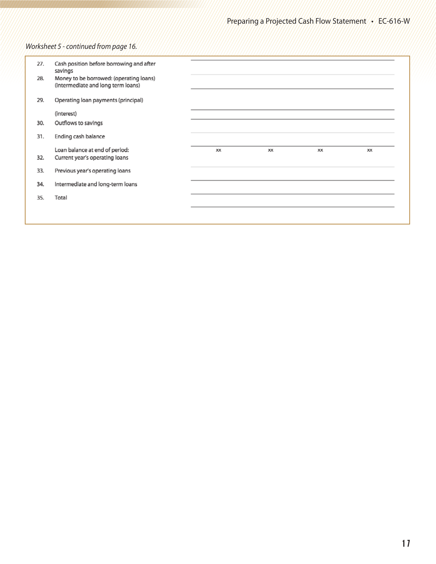## *Worksheet 5 - continued from page 16.*

| 27. | Cash position before borrowing and after<br>savings                           |    |    |    |    |
|-----|-------------------------------------------------------------------------------|----|----|----|----|
| 28. | Money to be borrowed: (operating loans)<br>(intermediate and long term loans) |    |    |    |    |
| 29. | Operating loan payments (principal)                                           |    |    |    |    |
|     | (interest)                                                                    |    |    |    |    |
| 30. | Outflows to savings                                                           |    |    |    |    |
| 31. | Ending cash balance                                                           |    |    |    |    |
| 32. | Loan balance at end of period:<br>Current year's operating loans              | xх | xх | XX | xх |
| 33. | Previous year's operating loans                                               |    |    |    |    |
| 34. | Intermediate and long-term loans                                              |    |    |    |    |
| 35. | Total                                                                         |    |    |    |    |
|     |                                                                               |    |    |    |    |
|     |                                                                               |    |    |    |    |